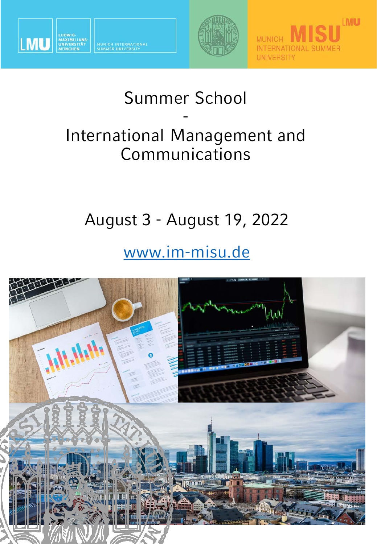

MUNICH INTERNATIONAL<br>SUMMER UNIVERSITY





## Summer School - International Management and Communications

## August 3 - August 19, 2022

## [www.im-misu.de](http://www.im-misu.de/)

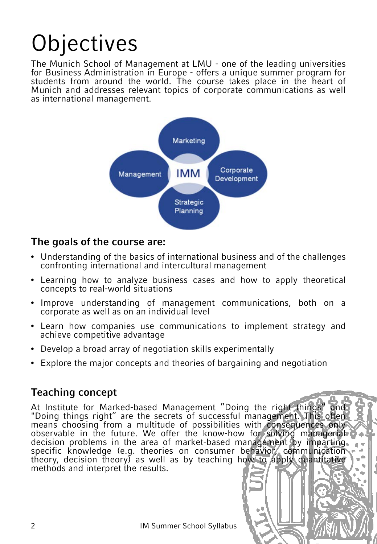## **Objectives**

The Munich School of Management at LMU - one of the leading universities for Business Administration in Europe - offers a unique summer program for students from around the world. The course takes place in the heart of Munich and addresses relevant topics of corporate communications as well as international management.



#### **The goals of the course are:**

- Understanding of the basics of international business and of the challenges confronting international and intercultural management
- Learning how to analyze business cases and how to apply theoretical concepts to real-world situations
- Improve understanding of management communications, both on a corporate as well as on an individual level
- Learn how companies use communications to implement strategy and achieve competitive advantage
- Develop a broad array of negotiation skills experimentally
- Explore the major concepts and theories of bargaining and negotiation

#### **Teaching concept**

At Institute for Marked-based Management "Doing the right things" and "Doing things right" are the secrets of successful management. This often means choosing from a multitude of possibilities with consequences only observable in the future. We offer the know-how for solving managerial decision problems in the area of market-based management by imparting. specific knowledge (e.g. theories on consumer behavior, communication theory, decision theory) as well as by teaching how to apply quantitative methods and interpret the results.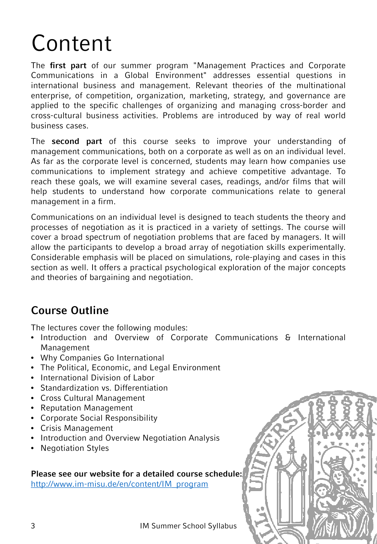## Content

The **first part** of our summer program "Management Practices and Corporate Communications in a Global Environment" addresses essential questions in international business and management. Relevant theories of the multinational enterprise, of competition, organization, marketing, strategy, and governance are applied to the specific challenges of organizing and managing cross-border and cross-cultural business activities. Problems are introduced by way of real world business cases.

The **second part** of this course seeks to improve your understanding of management communications, both on a corporate as well as on an individual level. As far as the corporate level is concerned, students may learn how companies use communications to implement strategy and achieve competitive advantage. To reach these goals, we will examine several cases, readings, and/or films that will help students to understand how corporate communications relate to general management in a firm.

Communications on an individual level is designed to teach students the theory and processes of negotiation as it is practiced in a variety of settings. The course will cover a broad spectrum of negotiation problems that are faced by managers. It will allow the participants to develop a broad array of negotiation skills experimentally. Considerable emphasis will be placed on simulations, role-playing and cases in this section as well. It offers a practical psychological exploration of the major concepts and theories of bargaining and negotiation.

### **Course Outline**

The lectures cover the following modules:

- Introduction and Overview of Corporate Communications & International Management
- Why Companies Go International
- The Political, Economic, and Legal Environment
- International Division of Labor
- Standardization vs. Differentiation
- Cross Cultural Management
- Reputation Management
- Corporate Social Responsibility
- Crisis Management
- Introduction and Overview Negotiation Analysis
- Negotiation Styles

#### **Please see our website for a detailed course schedule:**

[http://www.im-misu.de/en/content/IM\\_program](http://www.im-misu.de/en/content/IM_program)

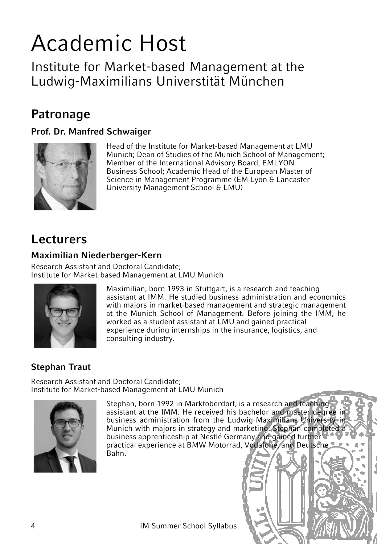## Academic Host

Institute for Market-based Management at the Ludwig-Maximilians Universtität München

## **Patronage**

#### **Prof. Dr. Manfred Schwaiger**



Head of the Institute for Market-based Management at LMU Munich; Dean of Studies of the Munich School of Management; Member of the International Advisory Board, EMLYON Business School; Academic Head of the European Master of Science in Management Programme (EM Lyon & Lancaster University Management School & LMU)

## **Lecturers**

#### **Maximilian Niederberger-Kern**

Research Assistant and Doctoral Candidate; Institute for Market-based Management at LMU Munich



Maximilian, born 1993 in Stuttgart, is a research and teaching assistant at IMM. He studied business administration and economics with majors in market-based management and strategic management at the Munich School of Management. Before joining the IMM, he worked as a student assistant at LMU and gained practical experience during internships in the insurance, logistics, and consulting industry.

#### **Stephan Traut**

Research Assistant and Doctoral Candidate; Institute for Market-based Management at LMU Munich



Stephan, born 1992 in Marktoberdorf, is a research and teaching assistant at the IMM. He received his bachelor and master degree in business administration from the Ludwig-Maximilians-University in Munich with majors in strategy and marketing. Stephan completed a business apprenticeship at Nestlé Germany and gained further practical experience at BMW Motorrad, Vodafone, and Deutsche Bahn.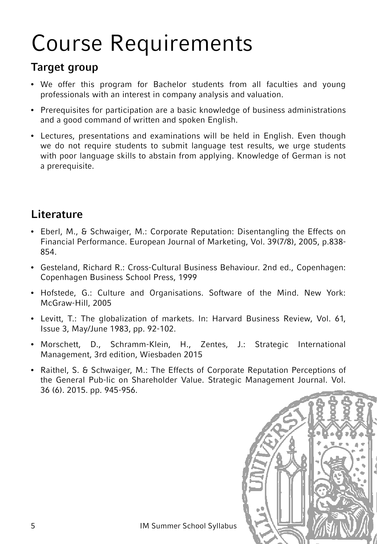## Course Requirements

### **Target group**

- We offer this program for Bachelor students from all faculties and young professionals with an interest in company analysis and valuation.
- Prerequisites for participation are a basic knowledge of business administrations and a good command of written and spoken English.
- Lectures, presentations and examinations will be held in English. Even though we do not require students to submit language test results, we urge students with poor language skills to abstain from applying. Knowledge of German is not a prerequisite.

## **Literature**

- Eberl, M., & Schwaiger, M.: Corporate Reputation: Disentangling the Effects on Financial Performance. European Journal of Marketing, Vol. 39(7/8), 2005, p.838- 854.
- Gesteland, Richard R.: Cross-Cultural Business Behaviour. 2nd ed., Copenhagen: Copenhagen Business School Press, 1999
- Hofstede, G.: Culture and Organisations. Software of the Mind. New York: McGraw-Hill, 2005
- Levitt, T.: The globalization of markets. In: Harvard Business Review, Vol. 61, Issue 3, May/June 1983, pp. 92-102.
- Morschett, D., Schramm-Klein, H., Zentes, J.: Strategic International Management, 3rd edition, Wiesbaden 2015
- Raithel, S. & Schwaiger, M.: The Effects of Corporate Reputation Perceptions of the General Pub-lic on Shareholder Value. Strategic Management Journal. Vol. 36 (6). 2015. pp. 945-956.

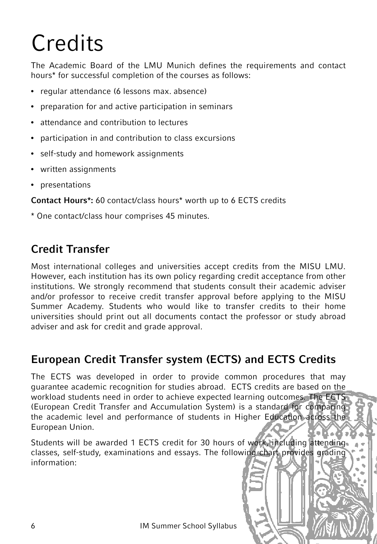# **Credits**

The Academic Board of the LMU Munich defines the requirements and contact hours\* for successful completion of the courses as follows:

- regular attendance (6 lessons max. absence)
- preparation for and active participation in seminars
- attendance and contribution to lectures
- participation in and contribution to class excursions
- self-study and homework assignments
- written assignments
- presentations

**Contact Hours\*:** 60 contact/class hours\* worth up to 6 ECTS credits

\* One contact/class hour comprises 45 minutes.

### **Credit Transfer**

Most international colleges and universities accept credits from the MISU LMU. However, each institution has its own policy regarding credit acceptance from other institutions. We strongly recommend that students consult their academic adviser and/or professor to receive credit transfer approval before applying to the MISU Summer Academy. Students who would like to transfer credits to their home universities should print out all documents contact the professor or study abroad adviser and ask for credit and grade approval.

### **European Credit Transfer system (ECTS) and ECTS Credits**

The ECTS was developed in order to provide common procedures that may guarantee academic recognition for studies abroad. ECTS credits are based on the workload students need in order to achieve expected learning outcomes. The ECTS (European Credit Transfer and Accumulation System) is a standard for comparing the academic level and performance of students in Higher Education across the European Union.

Students will be awarded 1 ECTS credit for 30 hours of work, including attending. classes, self-study, examinations and essays. The following chart provides grading information: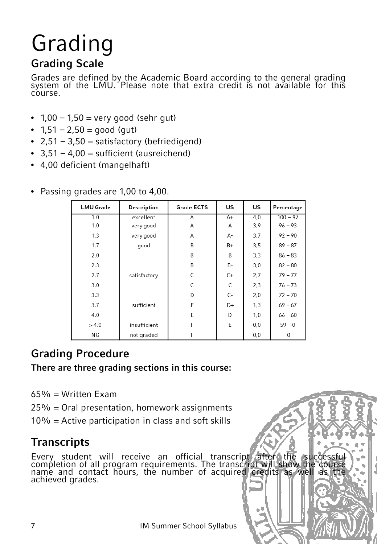# Grading

### **Grading Scale**

Grades are defined by the Academic Board according to the general grading system of the LMU. Please note that extra credit is not available for this course.

- $1,00 1,50 =$  very good (sehr gut)
- $1,51 2,50 = \text{good}$  (gut)
- $2,51 3,50 =$  satisfactory (befriedigend)
- $3,51 4,00 =$  sufficient (ausreichend)
- 4,00 deficient (mangelhaft)

| <b>LMU Grade</b> | <b>Description</b> | <b>Grade ECTS</b> | US | US  | Percentage |
|------------------|--------------------|-------------------|----|-----|------------|
| 1.0              | excellent          | Α                 | A+ | 4,0 | $100 - 97$ |
| 1.0              | very good          | A                 | Α  | 3,9 | $96 - 93$  |
| 1,3              | very good          | A                 | А- | 3,7 | $92 - 90$  |
| 1.7              | qood               | B                 | B+ | 3,5 | $89 - 87$  |
| 2.0              |                    | B                 | B  | 3,3 | $86 - 83$  |
| 2.3              |                    | B                 | B- | 3,0 | $82 - 80$  |
| 2.7              | satisfactory       | C                 | C+ | 2,7 | $79 - 77$  |
| 3.0              |                    | C                 | C  | 2,3 | $76 - 73$  |
| 3.3              |                    | D                 | C- | 2,0 | $72 - 70$  |
| 3.7              | sufficient         | E                 | D+ | 1,3 | $69 - 67$  |
| 4.0              |                    | E                 | D  | 1,0 | $66 - 60$  |
| >4.0             | insufficient       | F                 | E  | 0,0 | $59 - 0$   |
| ΝG               | not graded         | F                 |    | 0,0 | 0          |

• Passing grades are 1,00 to 4,00.

## **Grading Procedure**

#### **There are three grading sections in this course:**

- $65% =$  Written Exam
- 25% = Oral presentation, homework assignments
- $10\%$  = Active participation in class and soft skills

## **Transcripts**

Every student will receive an official transcript after the successful completion of all program requirements. The transcript will show the course name and contact hours, the number of acquired credits as well as the achieved grades.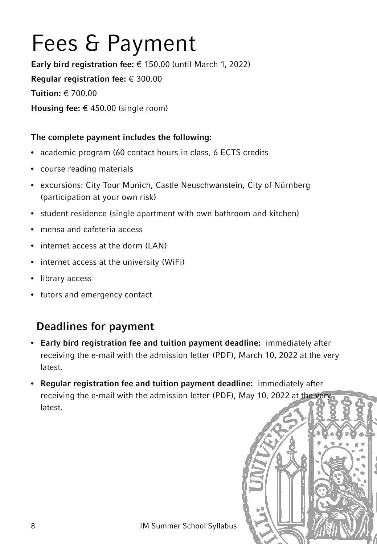## Fees & Payment

**Early bird registration fee:** € 150.00 (until March 1, 2022) **Regular registration fee:** € 300.00 **Tuition:** € 700.00 **Housing fee:** € 450.00 (single room)

#### **The complete payment includes the following:**

- academic program (60 contact hours in class, 6 ECTS credits
- course reading materials
- excursions: City Tour Munich, Castle Neuschwanstein, City of Nürnberg (participation at your own risk)
- student residence (single apartment with own bathroom and kitchen)
- mensa and cafeteria access
- internet access at the dorm (LAN)
- internet access at the university (WiFi)
- library access
- tutors and emergency contact

## **Deadlines for payment**

- **Early bird registration fee and tuition payment deadline:** immediately after receiving the e-mail with the admission letter (PDF), March 10, 2022 at the very latest.
- **Regular registration fee and tuition payment deadline:** immediately after receiving the e-mail with the admission letter (PDF), May 10, 2022 at the very latest.

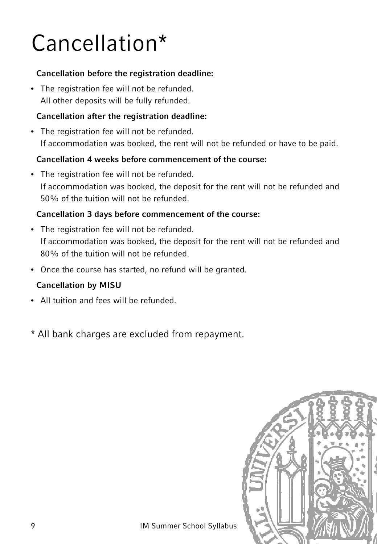## Cancellation\*

#### **Cancellation before the registration deadline:**

• The registration fee will not be refunded. All other deposits will be fully refunded.

#### **Cancellation after the registration deadline:**

• The registration fee will not be refunded. If accommodation was booked, the rent will not be refunded or have to be paid.

#### **Cancellation 4 weeks before commencement of the course:**

• The registration fee will not be refunded. If accommodation was booked, the deposit for the rent will not be refunded and 50% of the tuition will not be refunded.

#### **Cancellation 3 days before commencement of the course:**

- The registration fee will not be refunded. If accommodation was booked, the deposit for the rent will not be refunded and 80% of the tuition will not be refunded.
- Once the course has started, no refund will be granted.

#### **Cancellation by MISU**

- All tuition and fees will be refunded.
- \* All bank charges are excluded from repayment.

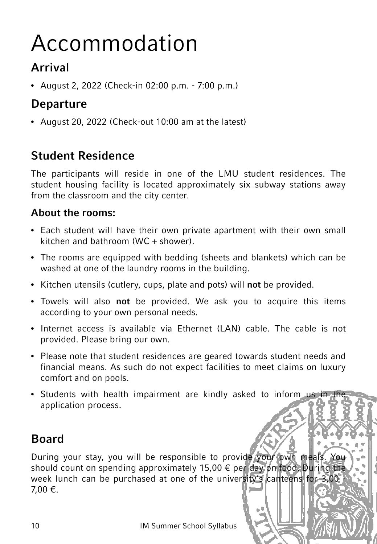## Accommodation

## **Arrival**

• August 2, 2022 (Check-in 02:00 p.m. - 7:00 p.m.)

## **Departure**

• August 20, 2022 (Check-out 10:00 am at the latest)

## **Student Residence**

The participants will reside in one of the LMU student residences. The student housing facility is located approximately six subway stations away from the classroom and the city center.

### **About the rooms:**

- Each student will have their own private apartment with their own small kitchen and bathroom (WC  $+$  shower).
- The rooms are equipped with bedding (sheets and blankets) which can be washed at one of the laundry rooms in the building.
- Kitchen utensils (cutlery, cups, plate and pots) will **not** be provided.
- Towels will also **not** be provided. We ask you to acquire this items according to your own personal needs.
- Internet access is available via Ethernet (LAN) cable. The cable is not provided. Please bring our own.
- Please note that student residences are geared towards student needs and financial means. As such do not expect facilities to meet claims on luxury comfort and on pools.
- Students with health impairment are kindly asked to inform us in the application process.

## **Board**

During your stay, you will be responsible to provide your own meals. You should count on spending approximately 15,00 € per day on food. During the week lunch can be purchased at one of the university's canteens for 3,00 -7,00 €.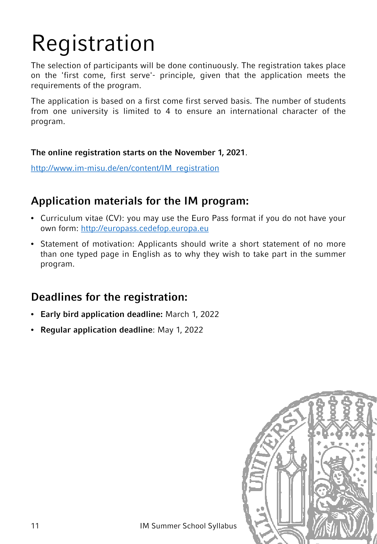# Registration

The selection of participants will be done continuously. The registration takes place on the 'first come, first serve'- principle, given that the application meets the requirements of the program.

The application is based on a first come first served basis. The number of students from one university is limited to 4 to ensure an international character of the program.

#### **The online registration starts on the November 1, 2021**.

[http://www.im-misu.de/en/content/IM\\_registration](http://www.im-misu.de/en/content/IM_registration)

### **Application materials for the IM program:**

- Curriculum vitae (CV): you may use the Euro Pass format if you do not have your own form: [http://europass.cedefop.europa.eu](http://europass.cedefop.europa.eu/)
- Statement of motivation: Applicants should write a short statement of no more than one typed page in English as to why they wish to take part in the summer program.

#### **Deadlines for the registration:**

- **Early bird application deadline:** March 1, 2022
- **Regular application deadline**: May 1, 2022